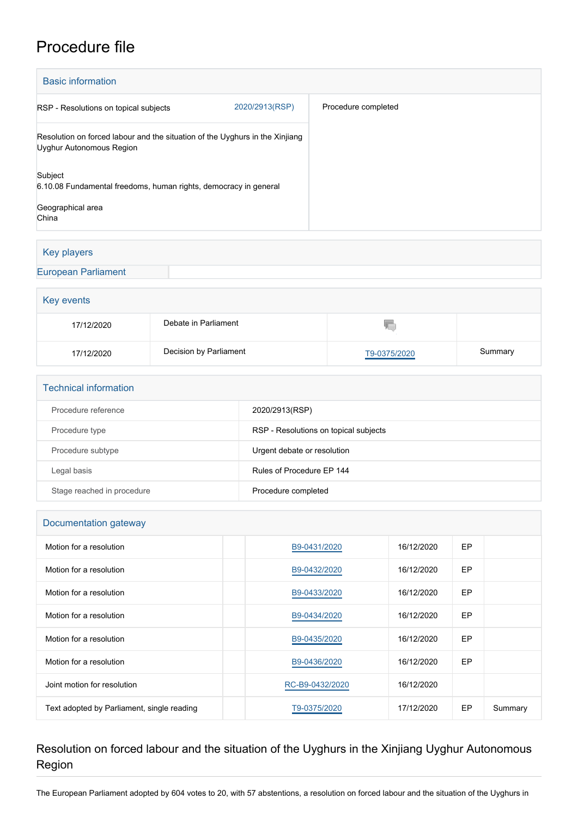# Procedure file

| <b>Basic information</b>                                                                                 |                |                     |  |  |  |
|----------------------------------------------------------------------------------------------------------|----------------|---------------------|--|--|--|
| RSP - Resolutions on topical subjects                                                                    | 2020/2913(RSP) | Procedure completed |  |  |  |
| Resolution on forced labour and the situation of the Uyghurs in the Xinjiang<br>Uyghur Autonomous Region |                |                     |  |  |  |
| Subject<br>6.10.08 Fundamental freedoms, human rights, democracy in general                              |                |                     |  |  |  |
| Geographical area<br>China                                                                               |                |                     |  |  |  |

### Key players

[European Parliament](http://www.europarl.europa.eu/)

| Key events |                        |              |         |  |  |
|------------|------------------------|--------------|---------|--|--|
| 17/12/2020 | Debate in Parliament   | TU.          |         |  |  |
| 17/12/2020 | Decision by Parliament | T9-0375/2020 | Summary |  |  |

| <b>Technical information</b> |                                       |  |  |  |
|------------------------------|---------------------------------------|--|--|--|
| Procedure reference          | 2020/2913(RSP)                        |  |  |  |
| Procedure type               | RSP - Resolutions on topical subjects |  |  |  |
| Procedure subtype            | Urgent debate or resolution           |  |  |  |
| Legal basis                  | Rules of Procedure EP 144             |  |  |  |
| Stage reached in procedure   | Procedure completed                   |  |  |  |

| Documentation gateway                      |                 |            |           |         |  |  |
|--------------------------------------------|-----------------|------------|-----------|---------|--|--|
| Motion for a resolution                    | B9-0431/2020    | 16/12/2020 | EP        |         |  |  |
| Motion for a resolution                    | B9-0432/2020    | 16/12/2020 | EP        |         |  |  |
| Motion for a resolution                    | B9-0433/2020    | 16/12/2020 | EP        |         |  |  |
| Motion for a resolution                    | B9-0434/2020    | 16/12/2020 | EP        |         |  |  |
| Motion for a resolution                    | B9-0435/2020    | 16/12/2020 | <b>EP</b> |         |  |  |
| Motion for a resolution                    | B9-0436/2020    | 16/12/2020 | EP        |         |  |  |
| Joint motion for resolution                | RC-B9-0432/2020 | 16/12/2020 |           |         |  |  |
| Text adopted by Parliament, single reading | T9-0375/2020    | 17/12/2020 | EP        | Summary |  |  |
|                                            |                 |            |           |         |  |  |

## Resolution on forced labour and the situation of the Uyghurs in the Xinjiang Uyghur Autonomous Region

The European Parliament adopted by 604 votes to 20, with 57 abstentions, a resolution on forced labour and the situation of the Uyghurs in